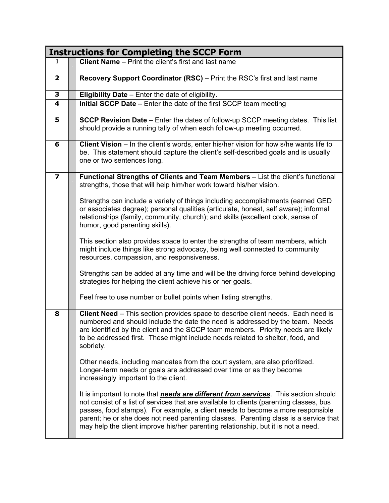|                         | <b>Instructions for Completing the SCCP Form</b>                                                                                                                                                                                                                                                                                                                                                                                                      |
|-------------------------|-------------------------------------------------------------------------------------------------------------------------------------------------------------------------------------------------------------------------------------------------------------------------------------------------------------------------------------------------------------------------------------------------------------------------------------------------------|
| 1                       | <b>Client Name</b> - Print the client's first and last name                                                                                                                                                                                                                                                                                                                                                                                           |
| $\overline{\mathbf{2}}$ | Recovery Support Coordinator (RSC) – Print the RSC's first and last name                                                                                                                                                                                                                                                                                                                                                                              |
| 3                       | Eligibility Date - Enter the date of eligibility.                                                                                                                                                                                                                                                                                                                                                                                                     |
| $\overline{\mathbf{4}}$ | Initial SCCP Date - Enter the date of the first SCCP team meeting                                                                                                                                                                                                                                                                                                                                                                                     |
| 5                       | <b>SCCP Revision Date</b> – Enter the dates of follow-up SCCP meeting dates. This list<br>should provide a running tally of when each follow-up meeting occurred.                                                                                                                                                                                                                                                                                     |
| 6                       | Client Vision - In the client's words, enter his/her vision for how s/he wants life to<br>be. This statement should capture the client's self-described goals and is usually<br>one or two sentences long.                                                                                                                                                                                                                                            |
| $\overline{\mathbf{z}}$ | Functional Strengths of Clients and Team Members - List the client's functional<br>strengths, those that will help him/her work toward his/her vision.                                                                                                                                                                                                                                                                                                |
|                         | Strengths can include a variety of things including accomplishments (earned GED<br>or associates degree); personal qualities (articulate, honest, self aware); informal<br>relationships (family, community, church); and skills (excellent cook, sense of<br>humor, good parenting skills).                                                                                                                                                          |
|                         | This section also provides space to enter the strengths of team members, which<br>might include things like strong advocacy, being well connected to community<br>resources, compassion, and responsiveness.                                                                                                                                                                                                                                          |
|                         | Strengths can be added at any time and will be the driving force behind developing<br>strategies for helping the client achieve his or her goals.                                                                                                                                                                                                                                                                                                     |
|                         | Feel free to use number or bullet points when listing strengths.                                                                                                                                                                                                                                                                                                                                                                                      |
| 8                       | Client Need - This section provides space to describe client needs. Each need is<br>numbered and should include the date the need is addressed by the team. Needs<br>are identified by the client and the SCCP team members. Priority needs are likely<br>to be addressed first. These might include needs related to shelter, food, and<br>sobriety.                                                                                                 |
|                         | Other needs, including mandates from the court system, are also prioritized.<br>Longer-term needs or goals are addressed over time or as they become<br>increasingly important to the client.                                                                                                                                                                                                                                                         |
|                         | It is important to note that <i>needs are different from services</i> . This section should<br>not consist of a list of services that are available to clients (parenting classes, bus<br>passes, food stamps). For example, a client needs to become a more responsible<br>parent; he or she does not need parenting classes. Parenting class is a service that<br>may help the client improve his/her parenting relationship, but it is not a need. |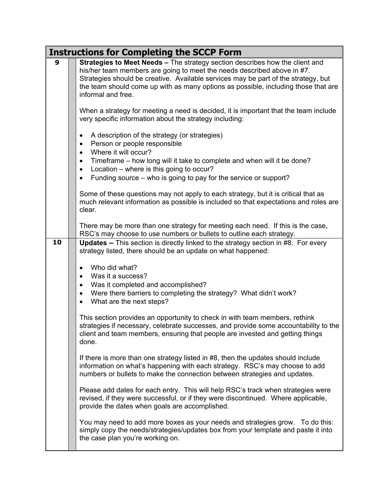|    | <b>Instructions for Completing the SCCP Form</b>                                                                                                                                                                                                                                                                                                                       |  |  |
|----|------------------------------------------------------------------------------------------------------------------------------------------------------------------------------------------------------------------------------------------------------------------------------------------------------------------------------------------------------------------------|--|--|
| 9  | Strategies to Meet Needs - The strategy section describes how the client and<br>his/her team members are going to meet the needs described above in #7.<br>Strategies should be creative. Available services may be part of the strategy, but<br>the team should come up with as many options as possible, including those that are<br>informal and free.              |  |  |
|    | When a strategy for meeting a need is decided, it is important that the team include<br>very specific information about the strategy including:                                                                                                                                                                                                                        |  |  |
|    | A description of the strategy (or strategies)<br>$\bullet$<br>Person or people responsible<br>$\bullet$<br>Where it will occur?<br>$\bullet$<br>Timeframe - how long will it take to complete and when will it be done?<br>٠<br>Location – where is this going to occur?<br>$\bullet$<br>Funding source – who is going to pay for the service or support?<br>$\bullet$ |  |  |
|    | Some of these questions may not apply to each strategy, but it is critical that as<br>much relevant information as possible is included so that expectations and roles are<br>clear.                                                                                                                                                                                   |  |  |
|    | There may be more than one strategy for meeting each need. If this is the case,<br>RSC's may choose to use numbers or bullets to outline each strategy.                                                                                                                                                                                                                |  |  |
| 10 | <b>Updates –</b> This section is directly linked to the strategy section in #8. For every<br>strategy listed, there should be an update on what happened:                                                                                                                                                                                                              |  |  |
|    | Who did what?<br>Was it a success?<br>$\bullet$                                                                                                                                                                                                                                                                                                                        |  |  |
|    | Was it completed and accomplished?<br>$\bullet$<br>Were there barriers to completing the strategy? What didn't work?<br>$\bullet$<br>What are the next steps?                                                                                                                                                                                                          |  |  |
|    | This section provides an opportunity to check in with team members, rethink<br>strategies if necessary, celebrate successes, and provide some accountability to the<br>client and team members, ensuring that people are invested and getting things<br>done.                                                                                                          |  |  |
|    | If there is more than one strategy listed in #8, then the updates should include<br>information on what's happening with each strategy. RSC's may choose to add<br>numbers or bullets to make the connection between strategies and updates.                                                                                                                           |  |  |
|    | Please add dates for each entry. This will help RSC's track when strategies were<br>revised, if they were successful, or if they were discontinued. Where applicable,<br>provide the dates when goals are accomplished.                                                                                                                                                |  |  |
|    | You may need to add more boxes as your needs and strategies grow. To do this:<br>simply copy the needs/strategies/updates box from your template and paste it into<br>the case plan you're working on.                                                                                                                                                                 |  |  |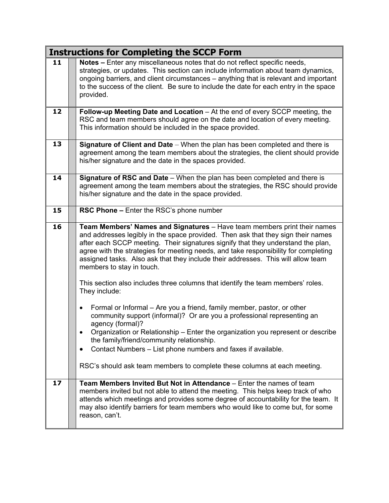|    | <b>Instructions for Completing the SCCP Form</b>                                                                                                                                                                                                                                                                                                                                                                                                                                                                                                             |  |  |  |
|----|--------------------------------------------------------------------------------------------------------------------------------------------------------------------------------------------------------------------------------------------------------------------------------------------------------------------------------------------------------------------------------------------------------------------------------------------------------------------------------------------------------------------------------------------------------------|--|--|--|
| 11 | Notes - Enter any miscellaneous notes that do not reflect specific needs,<br>strategies, or updates. This section can include information about team dynamics,<br>ongoing barriers, and client circumstances - anything that is relevant and important<br>to the success of the client. Be sure to include the date for each entry in the space<br>provided.                                                                                                                                                                                                 |  |  |  |
| 12 | Follow-up Meeting Date and Location - At the end of every SCCP meeting, the<br>RSC and team members should agree on the date and location of every meeting.<br>This information should be included in the space provided.                                                                                                                                                                                                                                                                                                                                    |  |  |  |
| 13 | Signature of Client and Date - When the plan has been completed and there is<br>agreement among the team members about the strategies, the client should provide<br>his/her signature and the date in the spaces provided.                                                                                                                                                                                                                                                                                                                                   |  |  |  |
| 14 | Signature of RSC and Date - When the plan has been completed and there is<br>agreement among the team members about the strategies, the RSC should provide<br>his/her signature and the date in the space provided.                                                                                                                                                                                                                                                                                                                                          |  |  |  |
| 15 | <b>RSC Phone - Enter the RSC's phone number</b>                                                                                                                                                                                                                                                                                                                                                                                                                                                                                                              |  |  |  |
| 16 | Team Members' Names and Signatures - Have team members print their names<br>and addresses legibly in the space provided. Then ask that they sign their names<br>after each SCCP meeting. Their signatures signify that they understand the plan,<br>agree with the strategies for meeting needs, and take responsibility for completing<br>assigned tasks. Also ask that they include their addresses. This will allow team<br>members to stay in touch.<br>This section also includes three columns that identify the team members' roles.<br>They include: |  |  |  |
|    | Formal or Informal - Are you a friend, family member, pastor, or other<br>community support (informal)? Or are you a professional representing an<br>agency (formal)?<br>Organization or Relationship - Enter the organization you represent or describe<br>the family/friend/community relationship.<br>Contact Numbers - List phone numbers and faxes if available.                                                                                                                                                                                        |  |  |  |
|    | RSC's should ask team members to complete these columns at each meeting.                                                                                                                                                                                                                                                                                                                                                                                                                                                                                     |  |  |  |
| 17 | Team Members Invited But Not in Attendance – Enter the names of team<br>members invited but not able to attend the meeting. This helps keep track of who<br>attends which meetings and provides some degree of accountability for the team. It<br>may also identify barriers for team members who would like to come but, for some<br>reason, can't.                                                                                                                                                                                                         |  |  |  |